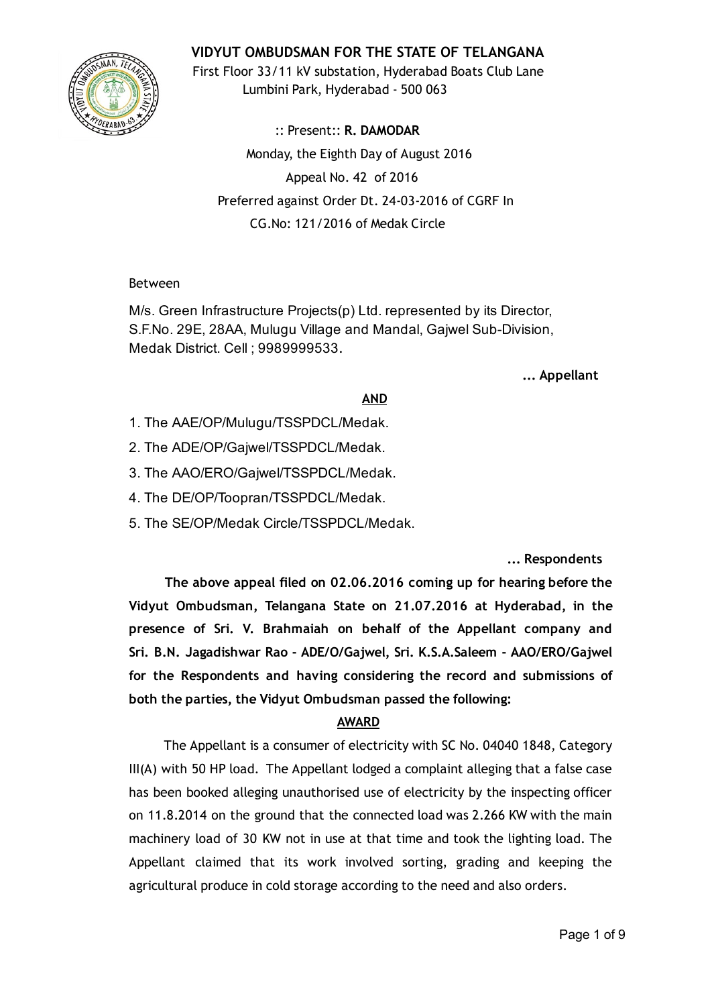

# VIDYUT OMBUDSMAN FOR THE STATE OF TELANGANA

First Floor 33/11 kV substation, Hyderabad Boats Club Lane Lumbini Park, Hyderabad ‐ 500 063

:: Present:: R. DAMODAR Monday, the Eighth Day of August 2016 Appeal No. 42 of 2016 Preferred against Order Dt. 24‐03‐2016 of CGRF In CG.No: 121/2016 of Medak Circle

### Between

M/s. Green Infrastructure Projects(p) Ltd. represented by its Director, S.F.No. 29E, 28AA, Mulugu Village and Mandal, Gajwel Sub-Division, Medak District. Cell ; 9989999533.

... Appellant

# AND

- 1. The AAE/OP/Mulugu/TSSPDCL/Medak.
- 2. The ADE/OP/Gajwel/TSSPDCL/Medak.
- 3. The AAO/ERO/Gajwel/TSSPDCL/Medak.
- 4. The DE/OP/Toopran/TSSPDCL/Medak.
- 5. The SE/OP/Medak Circle/TSSPDCL/Medak.

... Respondents

The above appeal filed on 02.06.2016 coming up for hearing before the Vidyut Ombudsman, Telangana State on 21.07.2016 at Hyderabad, in the presence of Sri. V. Brahmaiah on behalf of the Appellant company and Sri. B.N. Jagadishwar Rao ‐ ADE/O/Gajwel, Sri. K.S.A.Saleem ‐ AAO/ERO/Gajwel for the Respondents and having considering the record and submissions of both the parties, the Vidyut Ombudsman passed the following:

# AWARD

The Appellant is a consumer of electricity with SC No. 04040 1848, Category III(A) with 50 HP load. The Appellant lodged a complaint alleging that a false case has been booked alleging unauthorised use of electricity by the inspecting officer on 11.8.2014 on the ground that the connected load was 2.266 KW with the main machinery load of 30 KW not in use at that time and took the lighting load. The Appellant claimed that its work involved sorting, grading and keeping the agricultural produce in cold storage according to the need and also orders.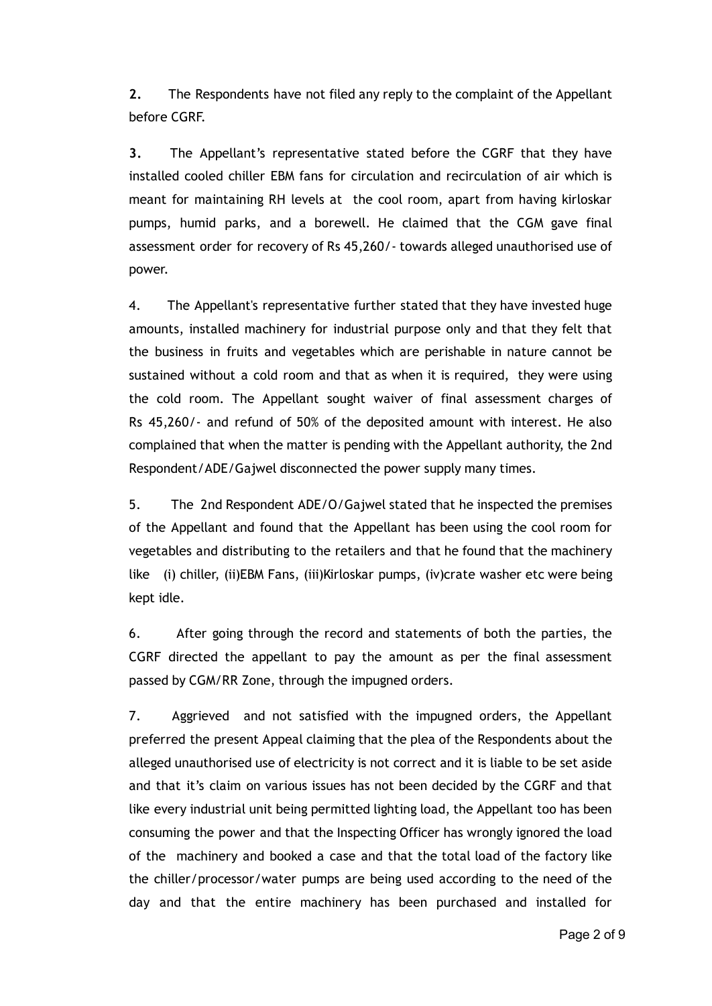2. The Respondents have not filed any reply to the complaint of the Appellant before CGRF.

3. The Appellant's representative stated before the CGRF that they have installed cooled chiller EBM fans for circulation and recirculation of air which is meant for maintaining RH levels at the cool room, apart from having kirloskar pumps, humid parks, and a borewell. He claimed that the CGM gave final assessment order for recovery of Rs 45,260/‐ towards alleged unauthorised use of power.

4. The Appellant's representative further stated that they have invested huge amounts, installed machinery for industrial purpose only and that they felt that the business in fruits and vegetables which are perishable in nature cannot be sustained without a cold room and that as when it is required, they were using the cold room. The Appellant sought waiver of final assessment charges of Rs 45,260/‐ and refund of 50% of the deposited amount with interest. He also complained that when the matter is pending with the Appellant authority, the 2nd Respondent/ADE/Gajwel disconnected the power supply many times.

5. The 2nd Respondent ADE/O/Gajwel stated that he inspected the premises of the Appellant and found that the Appellant has been using the cool room for vegetables and distributing to the retailers and that he found that the machinery like (i) chiller, (ii)EBM Fans, (iii)Kirloskar pumps, (iv)crate washer etc were being kept idle.

6. After going through the record and statements of both the parties, the CGRF directed the appellant to pay the amount as per the final assessment passed by CGM/RR Zone, through the impugned orders.

7. Aggrieved and not satisfied with the impugned orders, the Appellant preferred the present Appeal claiming that the plea of the Respondents about the alleged unauthorised use of electricity is not correct and it is liable to be set aside and that it's claim on various issues has not been decided by the CGRF and that like every industrial unit being permitted lighting load, the Appellant too has been consuming the power and that the Inspecting Officer has wrongly ignored the load of the machinery and booked a case and that the total load of the factory like the chiller/processor/water pumps are being used according to the need of the day and that the entire machinery has been purchased and installed for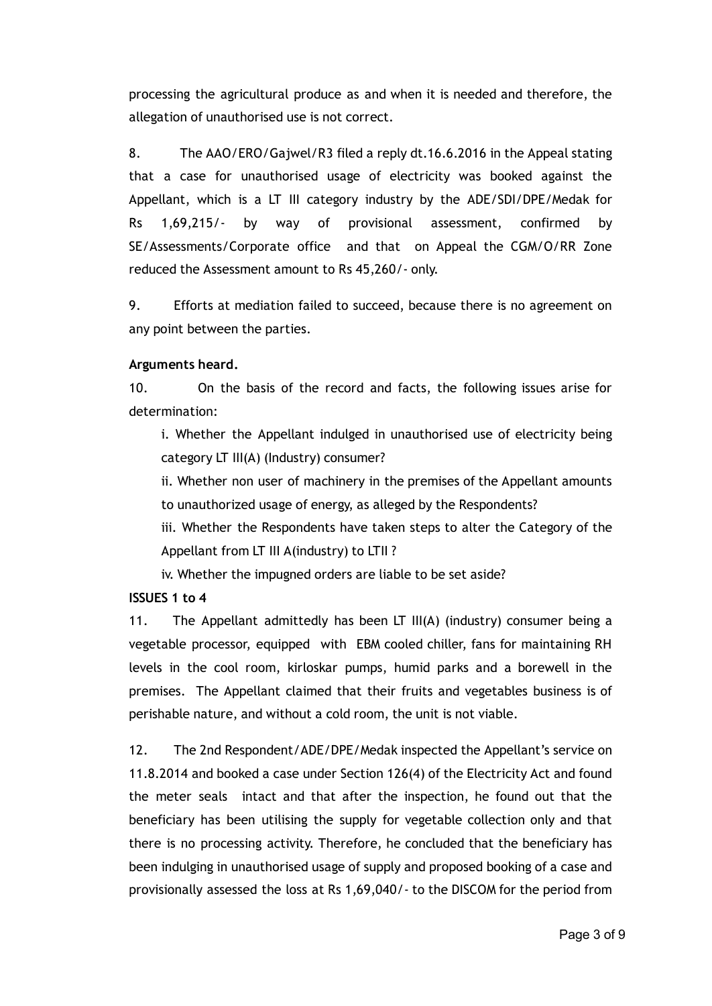processing the agricultural produce as and when it is needed and therefore, the allegation of unauthorised use is not correct.

8. The AAO/ERO/Gajwel/R3 filed a reply dt.16.6.2016 in the Appeal stating that a case for unauthorised usage of electricity was booked against the Appellant, which is a LT III category industry by the ADE/SDI/DPE/Medak for Rs 1,69,215/‐ by way of provisional assessment, confirmed by SE/Assessments/Corporate office and that on Appeal the CGM/O/RR Zone reduced the Assessment amount to Rs 45,260/‐ only.

9. Efforts at mediation failed to succeed, because there is no agreement on any point between the parties.

#### Arguments heard.

10. On the basis of the record and facts, the following issues arise for determination:

i. Whether the Appellant indulged in unauthorised use of electricity being category LT III(A) (Industry) consumer?

ii. Whether non user of machinery in the premises of the Appellant amounts to unauthorized usage of energy, as alleged by the Respondents?

iii. Whether the Respondents have taken steps to alter the Category of the Appellant from LT III A(industry) to LTII ?

iv. Whether the impugned orders are liable to be set aside?

# ISSUES 1 to 4

11. The Appellant admittedly has been LT III(A) (industry) consumer being a vegetable processor, equipped with EBM cooled chiller, fans for maintaining RH levels in the cool room, kirloskar pumps, humid parks and a borewell in the premises. The Appellant claimed that their fruits and vegetables business is of perishable nature, and without a cold room, the unit is not viable.

12. The 2nd Respondent/ADE/DPE/Medak inspected the Appellant's service on 11.8.2014 and booked a case under Section 126(4) of the Electricity Act and found the meter seals intact and that after the inspection, he found out that the beneficiary has been utilising the supply for vegetable collection only and that there is no processing activity. Therefore, he concluded that the beneficiary has been indulging in unauthorised usage of supply and proposed booking of a case and provisionally assessed the loss at Rs 1,69,040/‐ to the DISCOM for the period from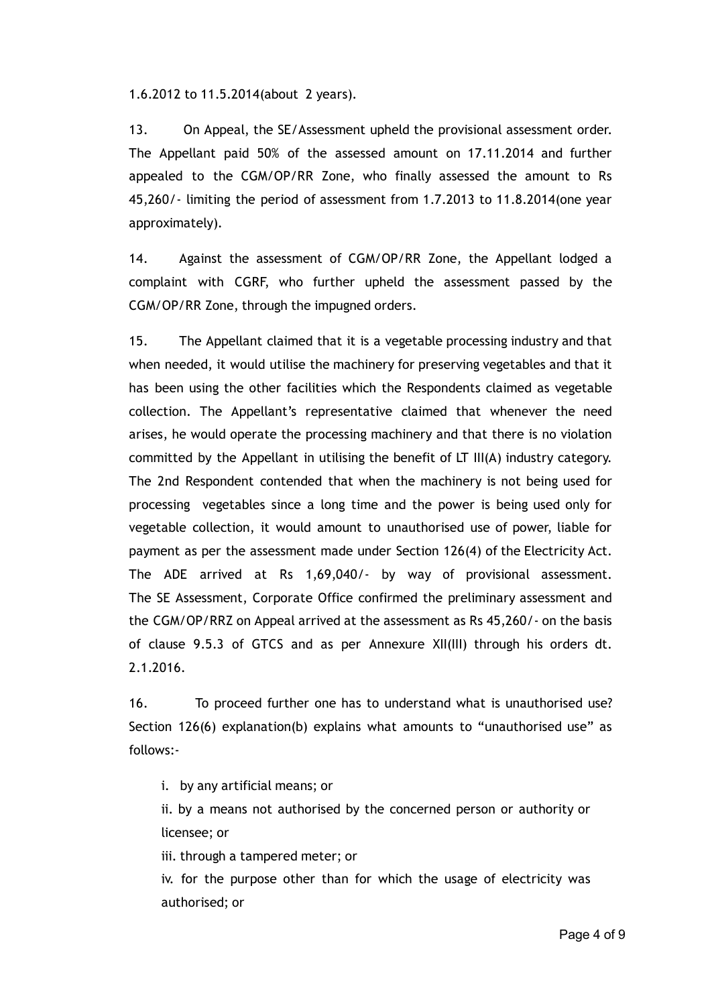1.6.2012 to 11.5.2014(about 2 years).

13. On Appeal, the SE/Assessment upheld the provisional assessment order. The Appellant paid 50% of the assessed amount on 17.11.2014 and further appealed to the CGM/OP/RR Zone, who finally assessed the amount to Rs 45,260/‐ limiting the period of assessment from 1.7.2013 to 11.8.2014(one year approximately).

14. Against the assessment of CGM/OP/RR Zone, the Appellant lodged a complaint with CGRF, who further upheld the assessment passed by the CGM/OP/RR Zone, through the impugned orders.

15. The Appellant claimed that it is a vegetable processing industry and that when needed, it would utilise the machinery for preserving vegetables and that it has been using the other facilities which the Respondents claimed as vegetable collection. The Appellant's representative claimed that whenever the need arises, he would operate the processing machinery and that there is no violation committed by the Appellant in utilising the benefit of LT III(A) industry category. The 2nd Respondent contended that when the machinery is not being used for processing vegetables since a long time and the power is being used only for vegetable collection, it would amount to unauthorised use of power, liable for payment as per the assessment made under Section 126(4) of the Electricity Act. The ADE arrived at Rs 1,69,040/‐ by way of provisional assessment. The SE Assessment, Corporate Office confirmed the preliminary assessment and the CGM/OP/RRZ on Appeal arrived at the assessment as Rs 45,260/‐ on the basis of clause 9.5.3 of GTCS and as per Annexure XII(III) through his orders dt. 2.1.2016.

16. To proceed further one has to understand what is unauthorised use? Section 126(6) explanation(b) explains what amounts to "unauthorised use" as follows:‐

i. by any artificial means; or

ii. by a means not authorised by the concerned person or authority or licensee; or

iii. through a tampered meter; or

iv. for the purpose other than for which the usage of electricity was authorised; or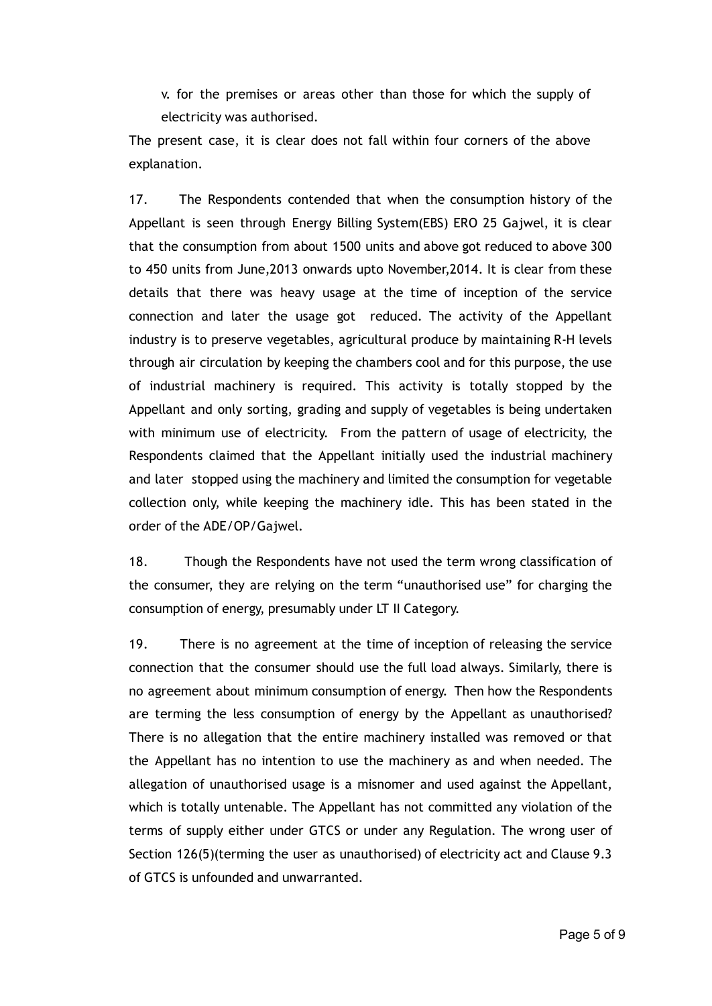v. for the premises or areas other than those for which the supply of electricity was authorised.

The present case, it is clear does not fall within four corners of the above explanation.

17. The Respondents contended that when the consumption history of the Appellant is seen through Energy Billing System(EBS) ERO 25 Gajwel, it is clear that the consumption from about 1500 units and above got reduced to above 300 to 450 units from June,2013 onwards upto November,2014. It is clear from these details that there was heavy usage at the time of inception of the service connection and later the usage got reduced. The activity of the Appellant industry is to preserve vegetables, agricultural produce by maintaining R‐H levels through air circulation by keeping the chambers cool and for this purpose, the use of industrial machinery is required. This activity is totally stopped by the Appellant and only sorting, grading and supply of vegetables is being undertaken with minimum use of electricity. From the pattern of usage of electricity, the Respondents claimed that the Appellant initially used the industrial machinery and later stopped using the machinery and limited the consumption for vegetable collection only, while keeping the machinery idle. This has been stated in the order of the ADE/OP/Gajwel.

18. Though the Respondents have not used the term wrong classification of the consumer, they are relying on the term "unauthorised use" for charging the consumption of energy, presumably under LT II Category.

19. There is no agreement at the time of inception of releasing the service connection that the consumer should use the full load always. Similarly, there is no agreement about minimum consumption of energy. Then how the Respondents are terming the less consumption of energy by the Appellant as unauthorised? There is no allegation that the entire machinery installed was removed or that the Appellant has no intention to use the machinery as and when needed. The allegation of unauthorised usage is a misnomer and used against the Appellant, which is totally untenable. The Appellant has not committed any violation of the terms of supply either under GTCS or under any Regulation. The wrong user of Section 126(5)(terming the user as unauthorised) of electricity act and Clause 9.3 of GTCS is unfounded and unwarranted.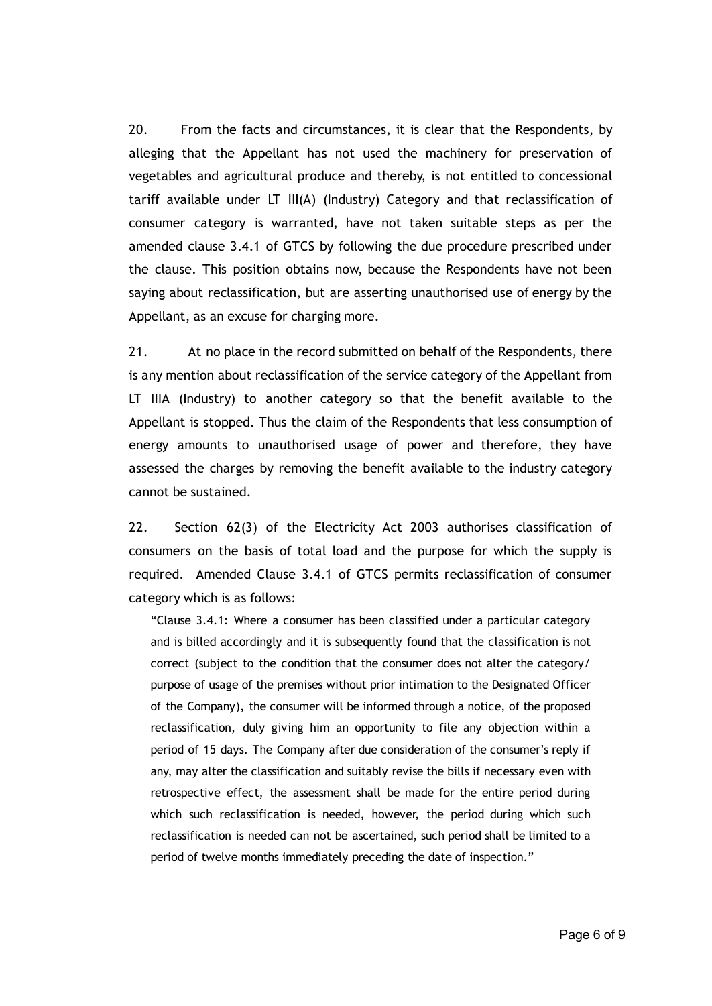20. From the facts and circumstances, it is clear that the Respondents, by alleging that the Appellant has not used the machinery for preservation of vegetables and agricultural produce and thereby, is not entitled to concessional tariff available under LT III(A) (Industry) Category and that reclassification of consumer category is warranted, have not taken suitable steps as per the amended clause 3.4.1 of GTCS by following the due procedure prescribed under the clause. This position obtains now, because the Respondents have not been saying about reclassification, but are asserting unauthorised use of energy by the Appellant, as an excuse for charging more.

21. At no place in the record submitted on behalf of the Respondents, there is any mention about reclassification of the service category of the Appellant from LT IIIA (Industry) to another category so that the benefit available to the Appellant is stopped. Thus the claim of the Respondents that less consumption of energy amounts to unauthorised usage of power and therefore, they have assessed the charges by removing the benefit available to the industry category cannot be sustained.

22. Section 62(3) of the Electricity Act 2003 authorises classification of consumers on the basis of total load and the purpose for which the supply is required. Amended Clause 3.4.1 of GTCS permits reclassification of consumer category which is as follows:

"Clause 3.4.1: Where a consumer has been classified under a particular category and is billed accordingly and it is subsequently found that the classification is not correct (subject to the condition that the consumer does not alter the category/ purpose of usage of the premises without prior intimation to the Designated Officer of the Company), the consumer will be informed through a notice, of the proposed reclassification, duly giving him an opportunity to file any objection within a period of 15 days. The Company after due consideration of the consumer's reply if any, may alter the classification and suitably revise the bills if necessary even with retrospective effect, the assessment shall be made for the entire period during which such reclassification is needed, however, the period during which such reclassification is needed can not be ascertained, such period shall be limited to a period of twelve months immediately preceding the date of inspection."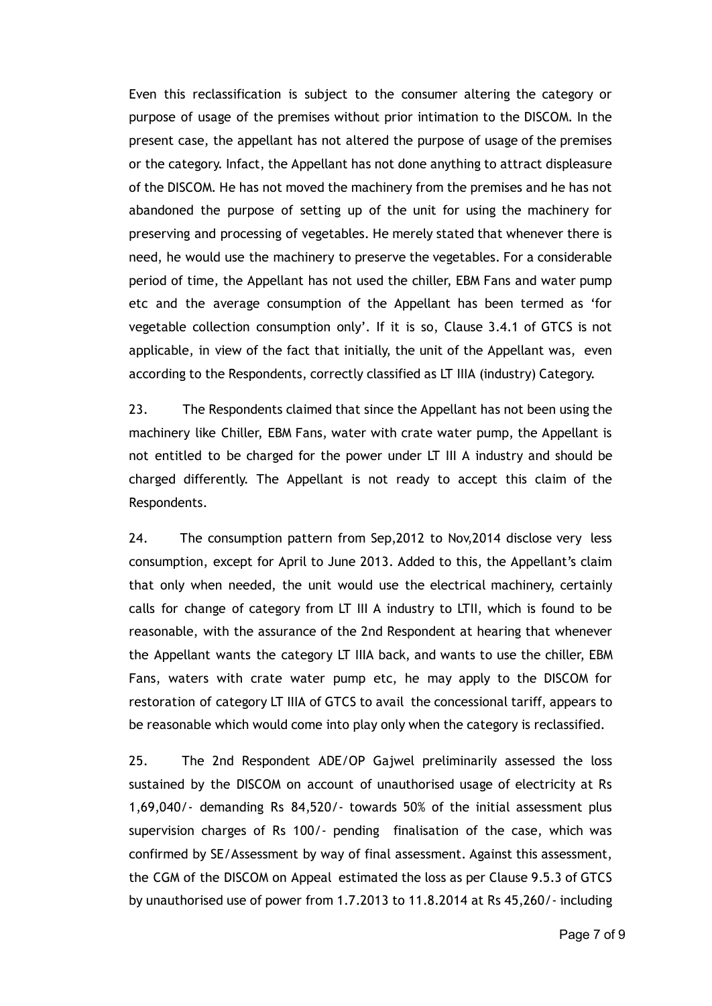Even this reclassification is subject to the consumer altering the category or purpose of usage of the premises without prior intimation to the DISCOM. In the present case, the appellant has not altered the purpose of usage of the premises or the category. Infact, the Appellant has not done anything to attract displeasure of the DISCOM. He has not moved the machinery from the premises and he has not abandoned the purpose of setting up of the unit for using the machinery for preserving and processing of vegetables. He merely stated that whenever there is need, he would use the machinery to preserve the vegetables. For a considerable period of time, the Appellant has not used the chiller, EBM Fans and water pump etc and the average consumption of the Appellant has been termed as 'for vegetable collection consumption only'. If it is so, Clause 3.4.1 of GTCS is not applicable, in view of the fact that initially, the unit of the Appellant was, even according to the Respondents, correctly classified as LT IIIA (industry) Category.

23. The Respondents claimed that since the Appellant has not been using the machinery like Chiller, EBM Fans, water with crate water pump, the Appellant is not entitled to be charged for the power under LT III A industry and should be charged differently. The Appellant is not ready to accept this claim of the Respondents.

24. The consumption pattern from Sep,2012 to Nov,2014 disclose very less consumption, except for April to June 2013. Added to this, the Appellant's claim that only when needed, the unit would use the electrical machinery, certainly calls for change of category from LT III A industry to LTII, which is found to be reasonable, with the assurance of the 2nd Respondent at hearing that whenever the Appellant wants the category LT IIIA back, and wants to use the chiller, EBM Fans, waters with crate water pump etc, he may apply to the DISCOM for restoration of category LT IIIA of GTCS to avail the concessional tariff, appears to be reasonable which would come into play only when the category is reclassified.

25. The 2nd Respondent ADE/OP Gajwel preliminarily assessed the loss sustained by the DISCOM on account of unauthorised usage of electricity at Rs 1,69,040/‐ demanding Rs 84,520/‐ towards 50% of the initial assessment plus supervision charges of Rs 100/‐ pending finalisation of the case, which was confirmed by SE/Assessment by way of final assessment. Against this assessment, the CGM of the DISCOM on Appeal estimated the loss as per Clause 9.5.3 of GTCS by unauthorised use of power from 1.7.2013 to 11.8.2014 at Rs 45,260/‐ including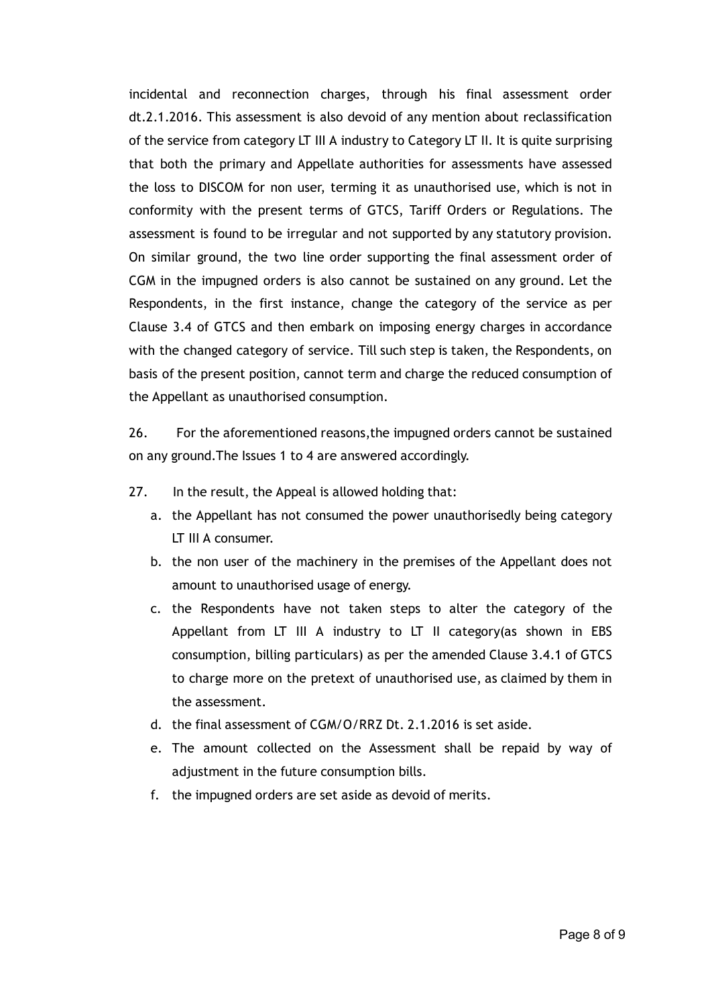incidental and reconnection charges, through his final assessment order dt.2.1.2016. This assessment is also devoid of any mention about reclassification of the service from category LT III A industry to Category LT II. It is quite surprising that both the primary and Appellate authorities for assessments have assessed the loss to DISCOM for non user, terming it as unauthorised use, which is not in conformity with the present terms of GTCS, Tariff Orders or Regulations. The assessment is found to be irregular and not supported by any statutory provision. On similar ground, the two line order supporting the final assessment order of CGM in the impugned orders is also cannot be sustained on any ground. Let the Respondents, in the first instance, change the category of the service as per Clause 3.4 of GTCS and then embark on imposing energy charges in accordance with the changed category of service. Till such step is taken, the Respondents, on basis of the present position, cannot term and charge the reduced consumption of the Appellant as unauthorised consumption.

26. For the aforementioned reasons,the impugned orders cannot be sustained on any ground.The Issues 1 to 4 are answered accordingly.

- 27. In the result, the Appeal is allowed holding that:
	- a. the Appellant has not consumed the power unauthorisedly being category LT III A consumer.
	- b. the non user of the machinery in the premises of the Appellant does not amount to unauthorised usage of energy.
	- c. the Respondents have not taken steps to alter the category of the Appellant from LT III A industry to LT II category(as shown in EBS consumption, billing particulars) as per the amended Clause 3.4.1 of GTCS to charge more on the pretext of unauthorised use, as claimed by them in the assessment.
	- d. the final assessment of CGM/O/RRZ Dt. 2.1.2016 is set aside.
	- e. The amount collected on the Assessment shall be repaid by way of adjustment in the future consumption bills.
	- f. the impugned orders are set aside as devoid of merits.